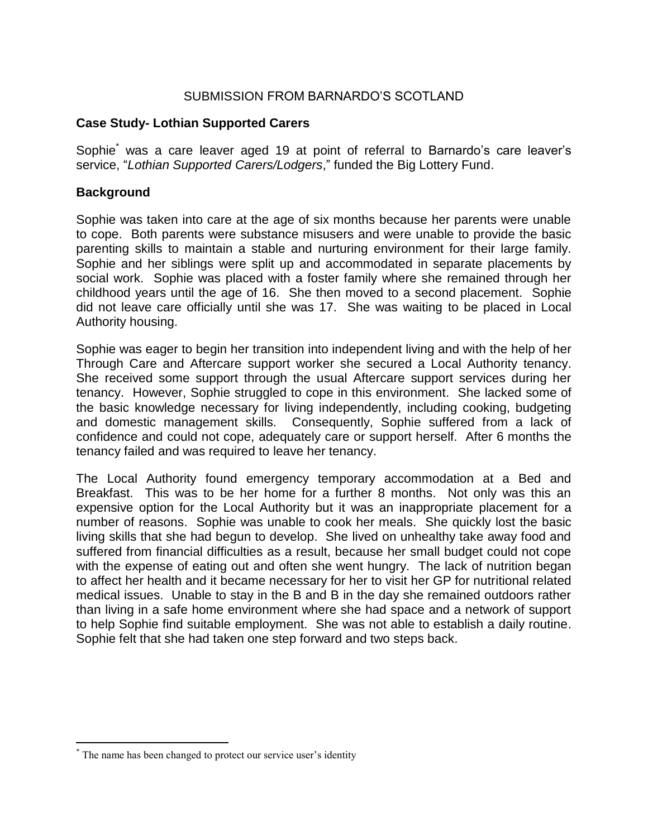### SUBMISSION FROM BARNARDO'S SCOTLAND

#### **Case Study- Lothian Supported Carers**

Sophie<sup>\*</sup> was a care leaver aged 19 at point of referral to Barnardo's care leaver's service, "*Lothian Supported Carers/Lodgers*," funded the Big Lottery Fund.

### **Background**

Sophie was taken into care at the age of six months because her parents were unable to cope. Both parents were substance misusers and were unable to provide the basic parenting skills to maintain a stable and nurturing environment for their large family. Sophie and her siblings were split up and accommodated in separate placements by social work. Sophie was placed with a foster family where she remained through her childhood years until the age of 16. She then moved to a second placement. Sophie did not leave care officially until she was 17. She was waiting to be placed in Local Authority housing.

Sophie was eager to begin her transition into independent living and with the help of her Through Care and Aftercare support worker she secured a Local Authority tenancy. She received some support through the usual Aftercare support services during her tenancy. However, Sophie struggled to cope in this environment. She lacked some of the basic knowledge necessary for living independently, including cooking, budgeting and domestic management skills. Consequently, Sophie suffered from a lack of confidence and could not cope, adequately care or support herself. After 6 months the tenancy failed and was required to leave her tenancy.

The Local Authority found emergency temporary accommodation at a Bed and Breakfast. This was to be her home for a further 8 months. Not only was this an expensive option for the Local Authority but it was an inappropriate placement for a number of reasons. Sophie was unable to cook her meals. She quickly lost the basic living skills that she had begun to develop. She lived on unhealthy take away food and suffered from financial difficulties as a result, because her small budget could not cope with the expense of eating out and often she went hungry. The lack of nutrition began to affect her health and it became necessary for her to visit her GP for nutritional related medical issues. Unable to stay in the B and B in the day she remained outdoors rather than living in a safe home environment where she had space and a network of support to help Sophie find suitable employment. She was not able to establish a daily routine. Sophie felt that she had taken one step forward and two steps back.

 $\overline{a}$ 

<sup>\*</sup> The name has been changed to protect our service user's identity